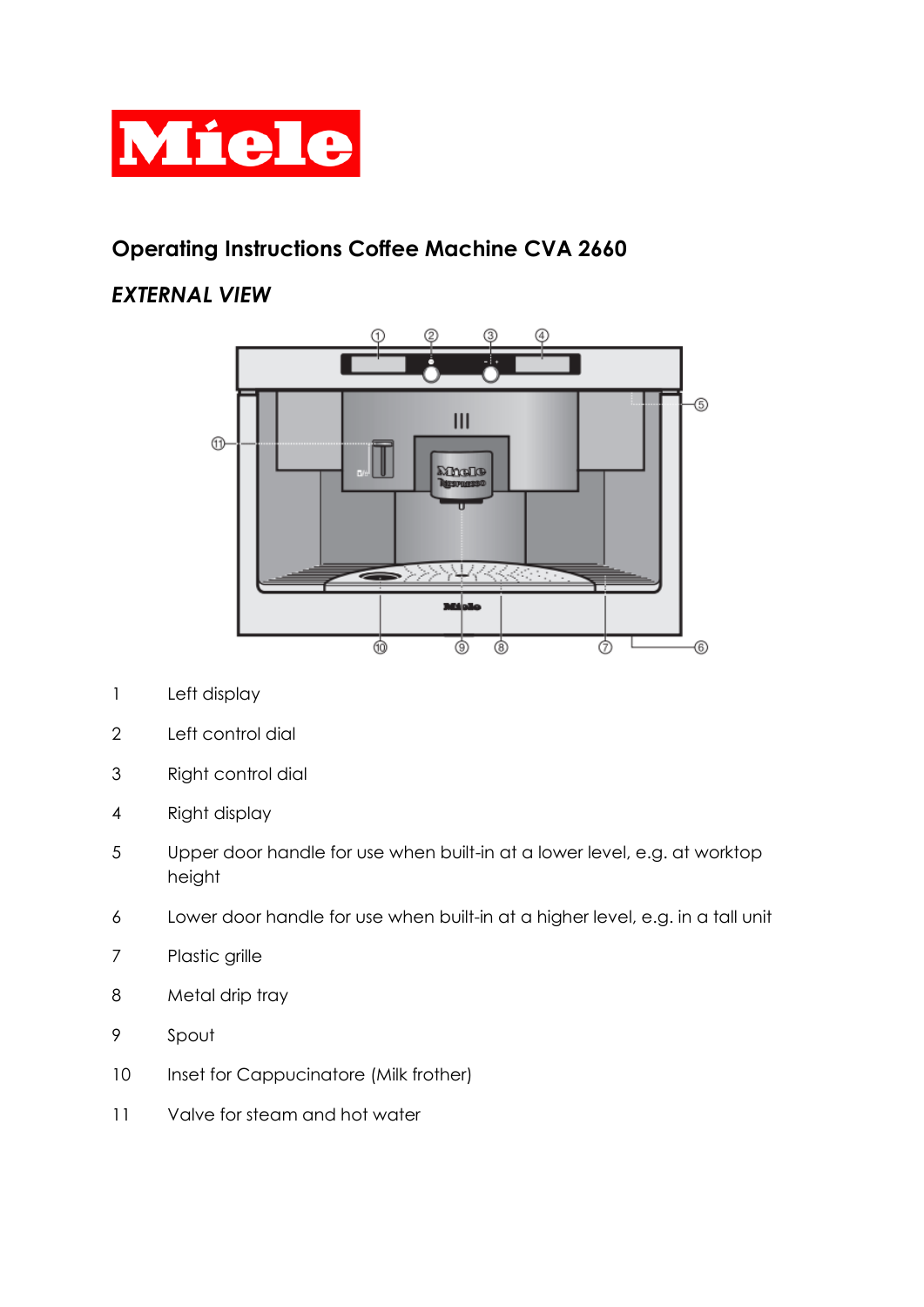

# **Operating Instructions Coffee Machine CVA 2660**

## *EXTERNAL VIEW*



- Left display
- Left control dial
- Right control dial
- Right display
- Upper door handle for use when built-in at a lower level, e.g. at worktop height
- Lower door handle for use when built-in at a higher level, e.g. in a tall unit
- Plastic grille
- 8 Metal drip tray
- Spout
- 10 Inset for Cappucinatore (Milk frother)
- Valve for steam and hot water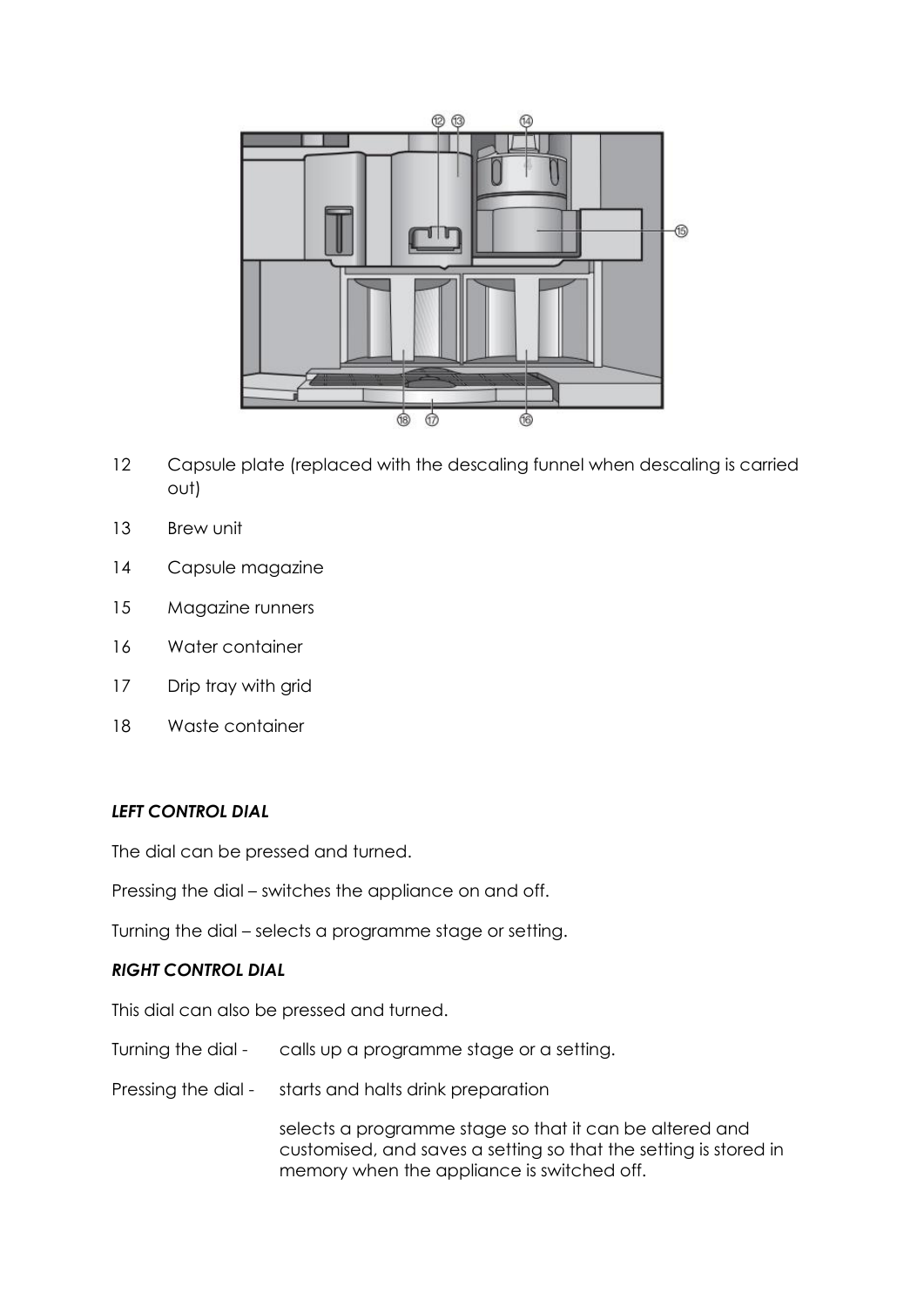

- 12 Capsule plate (replaced with the descaling funnel when descaling is carried out)
- 13 Brew unit
- 14 Capsule magazine
- 15 Magazine runners
- 16 Water container
- 17 Drip tray with grid
- 18 Waste container

#### *LEFT CONTROL DIAL*

The dial can be pressed and turned.

Pressing the dial – switches the appliance on and off.

Turning the dial – selects a programme stage or setting.

#### *RIGHT CONTROL DIAL*

This dial can also be pressed and turned.

- Turning the dial calls up a programme stage or a setting.
- Pressing the dial starts and halts drink preparation

selects a programme stage so that it can be altered and customised, and saves a setting so that the setting is stored in memory when the appliance is switched off.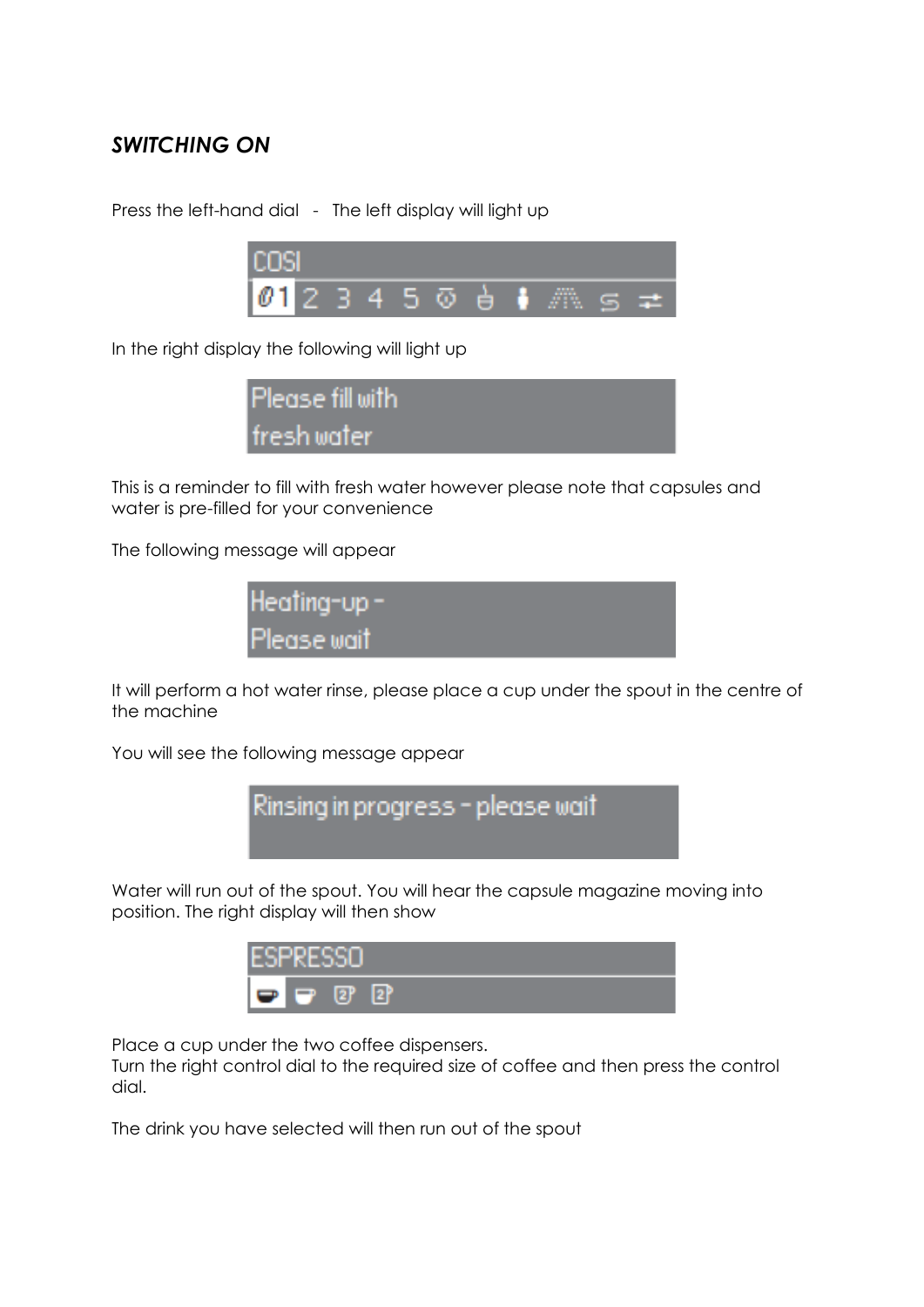### *SWITCHING ON*

Press the left-hand dial - The left display will light up



In the right display the following will light up



This is a reminder to fill with fresh water however please note that capsules and water is pre-filled for your convenience

The following message will appear



It will perform a hot water rinse, please place a cup under the spout in the centre of the machine

You will see the following message appear



Water will run out of the spout. You will hear the capsule magazine moving into position. The right display will then show



Place a cup under the two coffee dispensers.

Turn the right control dial to the required size of coffee and then press the control dial.

The drink you have selected will then run out of the spout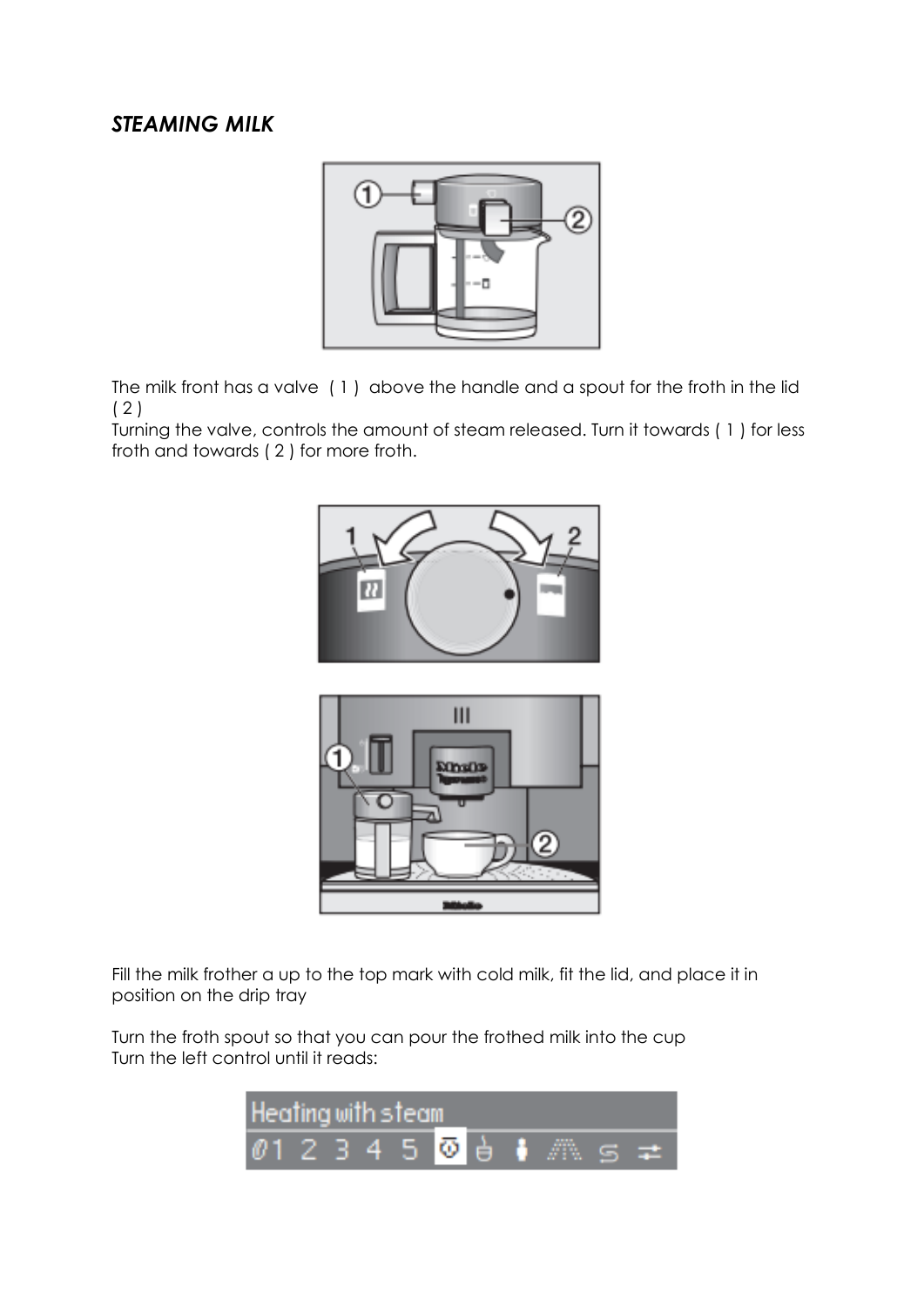### *STEAMING MILK*



The milk front has a valve ( 1 ) above the handle and a spout for the froth in the lid ( 2 )

Turning the valve, controls the amount of steam released. Turn it towards ( 1 ) for less froth and towards ( 2 ) for more froth.





Fill the milk frother a up to the top mark with cold milk, fit the lid, and place it in position on the drip tray

Turn the froth spout so that you can pour the frothed milk into the cup Turn the left control until it reads: